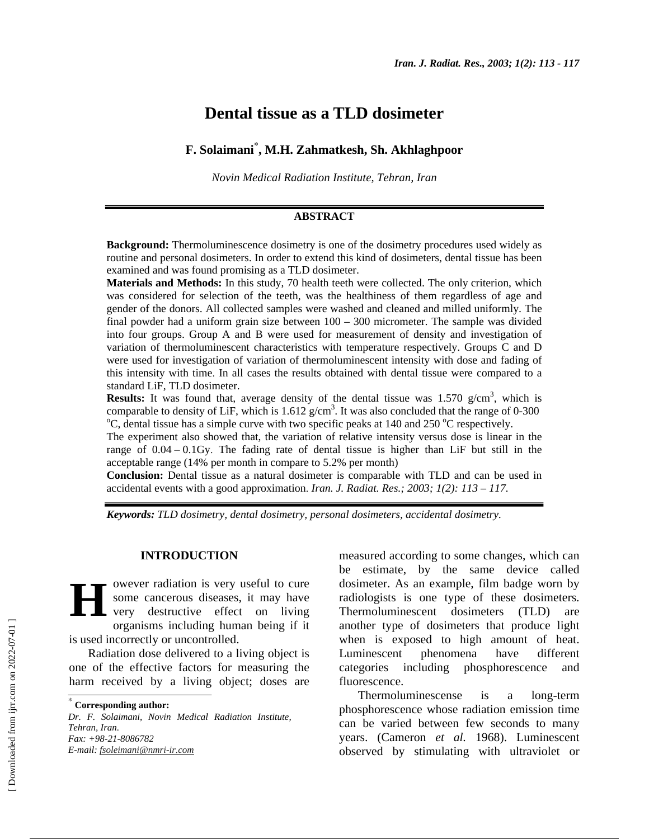# **Dental tissue as a TLD dosimeter**

# **F. Solaimani**<sup>∗</sup> **, M.H. Zahmatkesh, Sh. Akhlaghpoor**

*Novin Medical Radiation Institute, Tehran, Iran*

#### **ABSTRACT**

**Background:** Thermoluminescence dosimetry is one of the dosimetry procedures used widely as routine and personal dosimeters. In order to extend this kind of dosimeters, dental tissue has been examined and was found promising as a TLD dosimeter.

**Materials and Methods:** In this study, 70 health teeth were collected. The only criterion, which was considered for selection of the teeth, was the healthiness of them regardless of age and gender of the donors. All collected samples were washed and cleaned and milled uniformly. The final powder had a uniform grain size between  $100 - 300$  micrometer. The sample was divided into four groups. Group A and B were used for measurement of density and investigation of variation of thermoluminescent characteristics with temperature respectively. Groups C and D were used for investigation of variation of thermoluminescent intensity with dose and fading of this intensity with time. In all cases the results obtained with dental tissue were compared to a standard LiF, TLD dosimeter.

**Results:** It was found that, average density of the dental tissue was  $1.570$  g/cm<sup>3</sup>, which is comparable to density of LiF, which is  $1.612$  g/cm<sup>3</sup>. It was also concluded that the range of 0-300<br><sup>o</sup>C dental tissue has a simple surve with two specific peaks at 140 and 250 <sup>o</sup>C perpectively. C, dental tissue has a simple curve with two specific peaks at 140 and 250  $^{\circ}$ C respectively.

The experiment also showed that, the variation of relative intensity versus dose is linear in the range of  $0.04 - 0.1$  Gy. The fading rate of dental tissue is higher than LiF but still in the acceptable range (14% per month in compare to 5.2% per month)

**Conclusion**: Dental tissue as a natural dosimeter is comparable with TLD and can be used in accidental events with a good approximation. *Iran. J. Radiat. Res.; 2003; 1(2): 113 – 117.*

*Keywords: TLD dosimetry, dental dosimetry, personal dosimeters, accidental dosimetry.*

#### **INTRODUCTION**

owever radiation is very useful to cure some cancerous diseases, it may have very destructive effect on living organisms including human being if it is used incorrectly or uncontrolled. **H**

Radiation dose delivered to a living object is one of the effective factors for measuring the harm received by a living object; doses are

*Dr. F. Solaimani, Novin Medical Radiation Institute, Tehran, Iran. Fax: +98-21-8086782 E-mail: fsoleimani@nmri-ir.com*

measured according to some changes, which can be estimate, by the same device called dosimeter. As an example, film badge worn by radiologists is one type of these dosimeters. Thermoluminescent dosimeters (TLD) are another type of dosimeters that produce light when is exposed to high amount of heat. Luminescent phenomena have different categories including phosphorescence and fluorescence.

Thermoluminescense is a long-term phosphorescence whose radiation emission time can be varied between few seconds to many years. (Cameron *et al.* 1968). Luminescent observed by stimulating with ultraviolet or

<sup>∗</sup>  **Corresponding author:**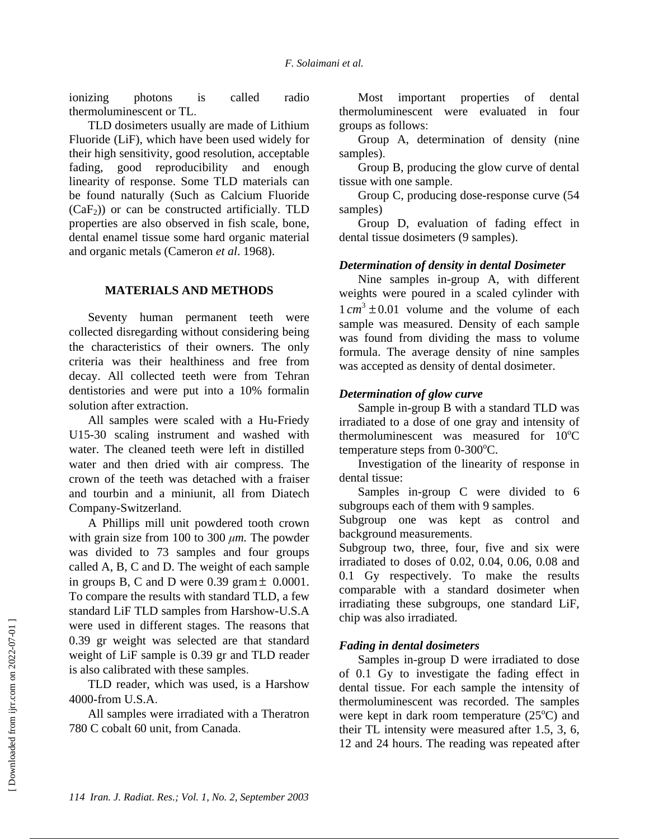ionizing photons is called radio thermoluminescent or TL.

TLD dosimeters usually are made of Lithium Fluoride (LiF), which have been used widely for their high sensitivity, good resolution, acceptable fading, good reproducibility and enough linearity of response. Some TLD materials can be found naturally (Such as Calcium Fluoride  $(CaF<sub>2</sub>)$  or can be constructed artificially. TLD properties are also observed in fish scale, bone, dental enamel tissue some hard organic material and organic metals (Cameron *et al*. 1968).

#### **MATERIALS AND METHODS**

Seventy human permanent teeth were collected disregarding without considering being the characteristics of their owners. The only criteria was their healthiness and free from decay. All collected teeth were from Tehran dentistories and were put into a 10% formalin solution after extraction.

All samples were scaled with a Hu-Friedy U15-30 scaling instrument and washed with water. The cleaned teeth were left in distilled water and then dried with air compress. The crown of the teeth was detached with a fraiser and tourbin and a miniunit, all from Diatech Company-Switzerland.

A Phillips mill unit powdered tooth crown with grain size from 100 to 300  $\mu$ *m*. The powder was divided to 73 samples and four groups called A, B, C and D. The weight of each sample in groups B, C and D were  $0.39$  gram  $\pm$  0.0001. To compare the results with standard TLD, a few standard LiF TLD samples from Harshow-U.S.A were used in different stages. The reasons that 0.39 gr weight was selected are that standard weight of LiF sample is 0.39 gr and TLD reader is also calibrated with these samples.

TLD reader, which was used, is a Harshow 4000-from U.S.A.

All samples were irradiated with a Theratron 780 C cobalt 60 unit, from Canada.

Most important properties of dental thermoluminescent were evaluated in four groups as follows:

Group A, determination of density (nine samples).

Group B, producing the glow curve of dental tissue with one sample.

Group C, producing dose-response curve (54 samples)

Group D, evaluation of fading effect in dental tissue dosimeters (9 samples).

## *Determination of density in dental Dosimeter*

Nine samples in-group A, with different weights were poured in a scaled cylinder with  $1 cm<sup>3</sup> \pm 0.01$  volume and the volume of each sample was measured. Density of each sample was found from dividing the mass to volume formula. The average density of nine samples was accepted as density of dental dosimeter.

#### *Determination of glow curve*

Sample in-group B with a standard TLD was irradiated to a dose of one gray and intensity of thermoluminescent was measured for  $10^{\circ}$ C temperature steps from  $0\n-300^{\circ}\text{C}$ .

Investigation of the linearity of response in dental tissue:

Samples in-group C were divided to 6 subgroups each of them with 9 samples.

Subgroup one was kept as control and background measurements.

Subgroup two, three, four, five and six were irradiated to doses of 0.02, 0.04, 0.06, 0.08 and 0.1 Gy respectively. To make the results comparable with a standard dosimeter when irradiating these subgroups, one standard LiF, chip was also irradiated.

## *Fading in dental dosimeters*

Samples in-group D were irradiated to dose of 0.1 Gy to investigate the fading effect in dental tissue. For each sample the intensity of thermoluminescent was recorded. The samples were kept in dark room temperature  $(25^{\circ}C)$  and their TL intensity were measured after 1.5, 3, 6, 12 and 24 hours. The reading was repeated after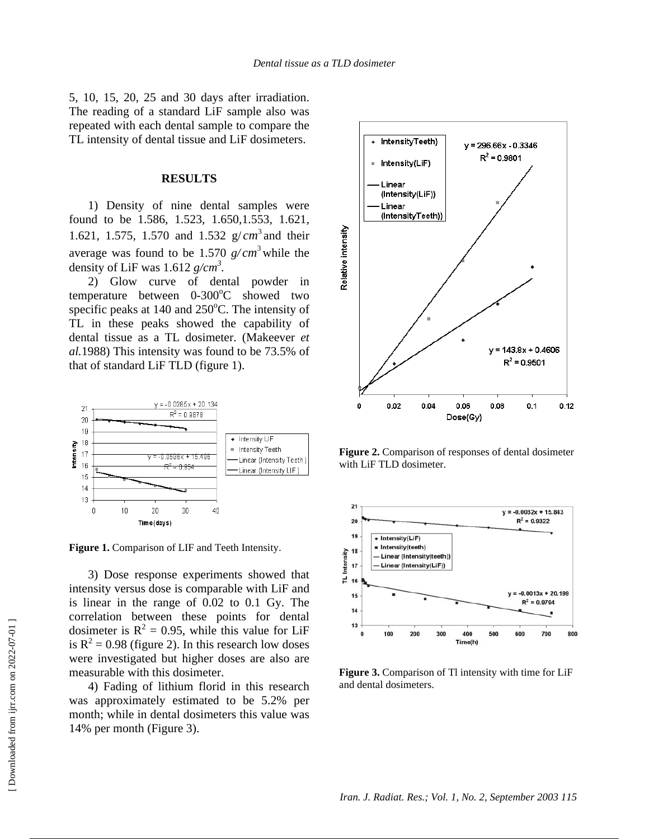5, 10, 15, 20, 25 and 30 days after irradiation. The reading of a standard LiF sample also was repeated with each dental sample to compare the TL intensity of dental tissue and LiF dosimeters.

#### **RESULTS**

1) Density of nine dental samples were found to be 1.586, 1.523, 1.650,1.553, 1.621, 1.621, 1.575, 1.570 and 1.532  $g/cm^3$  and their average was found to be 1.570  $g/cm^3$  while the density of LiF was  $1.612$   $g/cm^3$ .

2) Glow curve of dental powder in temperature between 0-300°C showed two specific peaks at  $140$  and  $250^{\circ}$ C. The intensity of TL in these peaks showed the capability of dental tissue as a TL dosimeter. (Makeever *et al.*1988) This intensity was found to be 73.5% of that of standard LiF TLD (figure 1).



**Figure 1.** Comparison of LIF and Teeth Intensity.

3) Dose response experiments showed that intensity versus dose is comparable with LiF and is linear in the range of 0.02 to 0.1 Gy. The correlation between these points for dental dosimeter is  $R^2 = 0.95$ , while this value for LiF is  $R^2 = 0.98$  (figure 2). In this research low doses were investigated but higher doses are also are measurable with this dosimeter.

4) Fading of lithium florid in this research was approximately estimated to be 5.2% per month; while in dental dosimeters this value was 14% per month (Figure 3).



**Figure 2.** Comparison of responses of dental dosimeter with LiF TLD dosimeter.



**Figure 3.** Comparison of Tl intensity with time for LiF and dental dosimeters.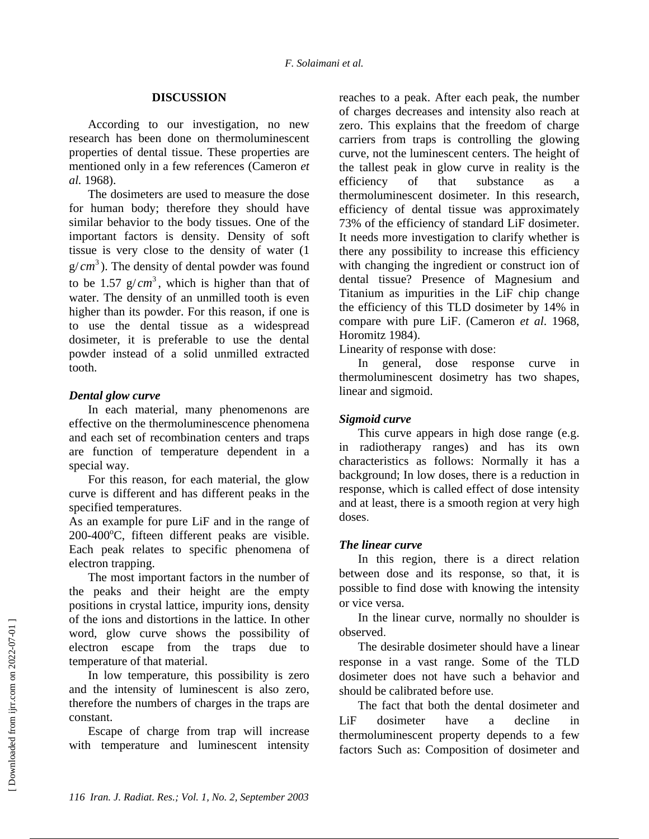#### **DISCUSSION**

According to our investigation, no new research has been done on thermoluminescent properties of dental tissue. These properties are mentioned only in a few references (Cameron *et al.* 1968).

The dosimeters are used to measure the dose for human body; therefore they should have similar behavior to the body tissues. One of the important factors is density. Density of soft tissue is very close to the density of water (1  $g/cm<sup>3</sup>$ ). The density of dental powder was found to be 1.57  $g/cm<sup>3</sup>$ , which is higher than that of water. The density of an unmilled tooth is even higher than its powder. For this reason, if one is to use the dental tissue as a widespread dosimeter, it is preferable to use the dental powder instead of a solid unmilled extracted tooth.

#### *Dental glow curve*

In each material, many phenomenons are effective on the thermoluminescence phenomena and each set of recombination centers and traps are function of temperature dependent in a special way.

For this reason, for each material, the glow curve is different and has different peaks in the specified temperatures.

As an example for pure LiF and in the range of 200-400°C, fifteen different peaks are visible. Each peak relates to specific phenomena of electron trapping.

The most important factors in the number of the peaks and their height are the empty positions in crystal lattice, impurity ions, density of the ions and distortions in the lattice. In other word, glow curve shows the possibility of electron escape from the traps due to temperature of that material.

In low temperature, this possibility is zero and the intensity of luminescent is also zero, therefore the numbers of charges in the traps are constant.

Escape of charge from trap will increase with temperature and luminescent intensity reaches to a peak. After each peak, the number of charges decreases and intensity also reach at zero. This explains that the freedom of charge carriers from traps is controlling the glowing curve, not the luminescent centers. The height of the tallest peak in glow curve in reality is the efficiency of that substance as a thermoluminescent dosimeter. In this research, efficiency of dental tissue was approximately 73% of the efficiency of standard LiF dosimeter. It needs more investigation to clarify whether is there any possibility to increase this efficiency with changing the ingredient or construct ion of dental tissue? Presence of Magnesium and Titanium as impurities in the LiF chip change the efficiency of this TLD dosimeter by 14% in compare with pure LiF. (Cameron *et al*. 1968, Horomitz 1984).

Linearity of response with dose:

In general, dose response curve in thermoluminescent dosimetry has two shapes, linear and sigmoid.

# *Sigmoid curve*

This curve appears in high dose range (e.g. in radiotherapy ranges) and has its own characteristics as follows: Normally it has a background; In low doses, there is a reduction in response, which is called effect of dose intensity and at least, there is a smooth region at very high doses.

## *The linear curve*

In this region, there is a direct relation between dose and its response, so that, it is possible to find dose with knowing the intensity or vice versa.

In the linear curve, normally no shoulder is observed.

The desirable dosimeter should have a linear response in a vast range. Some of the TLD dosimeter does not have such a behavior and should be calibrated before use.

The fact that both the dental dosimeter and LiF dosimeter have a decline in thermoluminescent property depends to a few factors Such as: Composition of dosimeter and